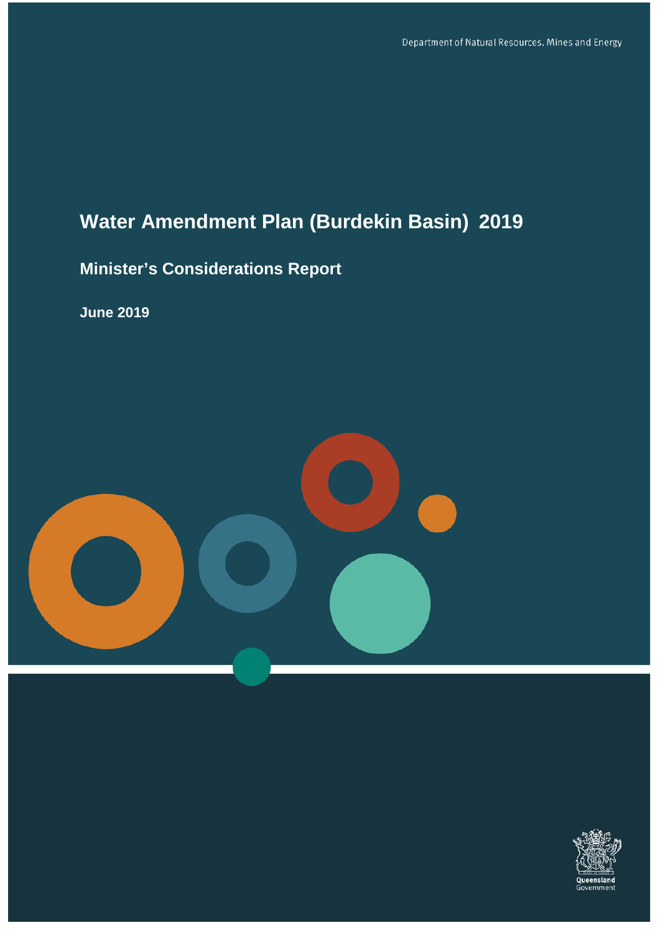# **Water Amendment Plan (Burdekin Basin) 2019**

## **Minister's Considerations Report**

**June 2019**



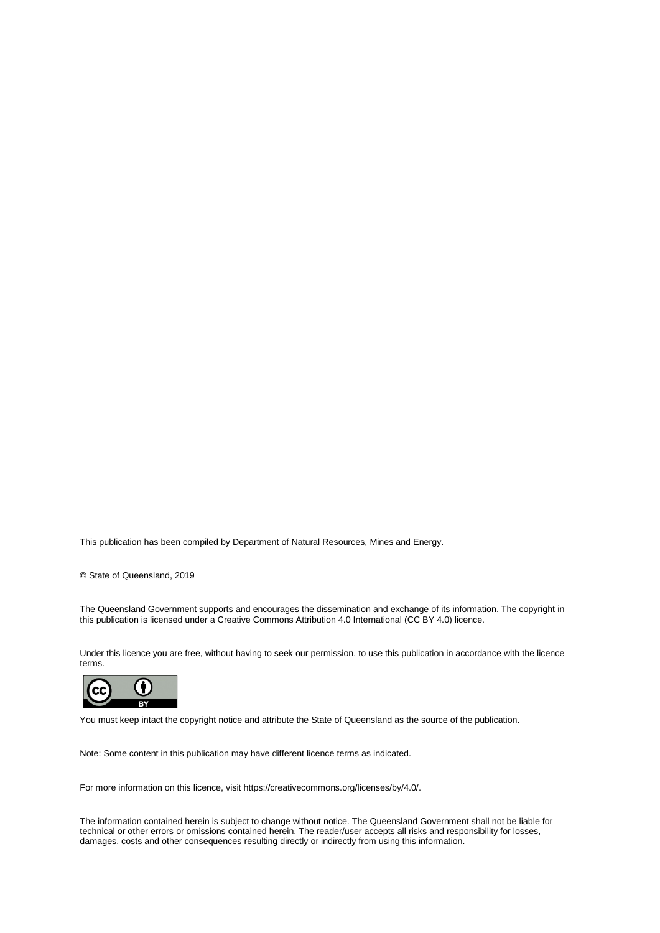This publication has been compiled by Department of Natural Resources, Mines and Energy.

© State of Queensland, 2019

The Queensland Government supports and encourages the dissemination and exchange of its information. The copyright in this publication is licensed under a Creative Commons Attribution 4.0 International (CC BY 4.0) licence.

Under this licence you are free, without having to seek our permission, to use this publication in accordance with the licence terms.



You must keep intact the copyright notice and attribute the State of Queensland as the source of the publication.

Note: Some content in this publication may have different licence terms as indicated.

For more information on this licence, visit https://creativecommons.org/licenses/by/4.0/.

The information contained herein is subject to change without notice. The Queensland Government shall not be liable for technical or other errors or omissions contained herein. The reader/user accepts all risks and responsibility for losses, damages, costs and other consequences resulting directly or indirectly from using this information.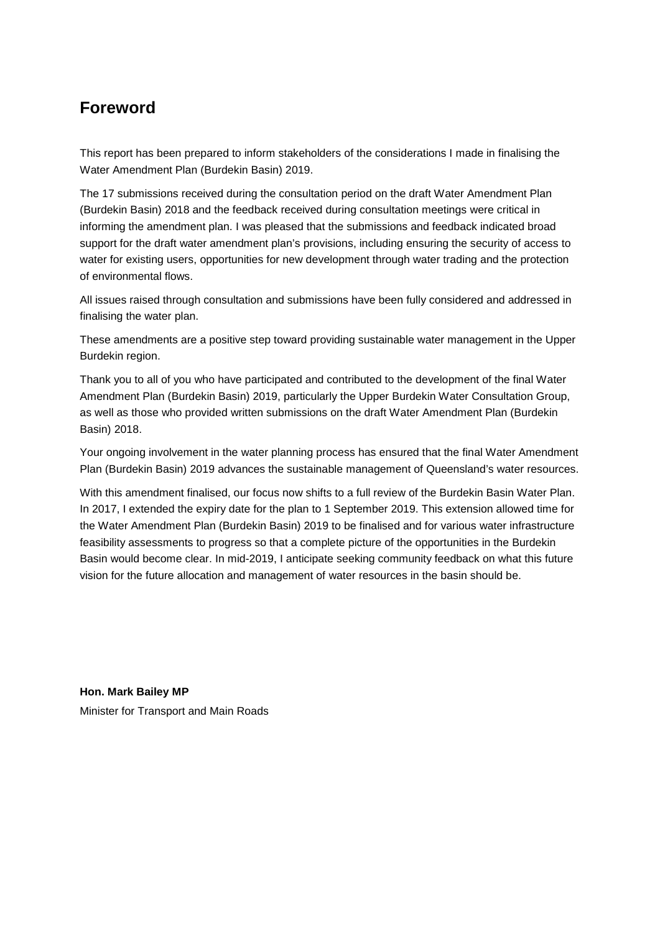## <span id="page-2-0"></span>**Foreword**

This report has been prepared to inform stakeholders of the considerations I made in finalising the Water Amendment Plan (Burdekin Basin) 2019.

The 17 submissions received during the consultation period on the draft Water Amendment Plan (Burdekin Basin) 2018 and the feedback received during consultation meetings were critical in informing the amendment plan. I was pleased that the submissions and feedback indicated broad support for the draft water amendment plan's provisions, including ensuring the security of access to water for existing users, opportunities for new development through water trading and the protection of environmental flows.

All issues raised through consultation and submissions have been fully considered and addressed in finalising the water plan.

These amendments are a positive step toward providing sustainable water management in the Upper Burdekin region.

Thank you to all of you who have participated and contributed to the development of the final Water Amendment Plan (Burdekin Basin) 2019, particularly the Upper Burdekin Water Consultation Group, as well as those who provided written submissions on the draft Water Amendment Plan (Burdekin Basin) 2018.

Your ongoing involvement in the water planning process has ensured that the final Water Amendment Plan (Burdekin Basin) 2019 advances the sustainable management of Queensland's water resources.

With this amendment finalised, our focus now shifts to a full review of the Burdekin Basin Water Plan. In 2017, I extended the expiry date for the plan to 1 September 2019. This extension allowed time for the Water Amendment Plan (Burdekin Basin) 2019 to be finalised and for various water infrastructure feasibility assessments to progress so that a complete picture of the opportunities in the Burdekin Basin would become clear. In mid-2019, I anticipate seeking community feedback on what this future vision for the future allocation and management of water resources in the basin should be.

**Hon. Mark Bailey MP** Minister for Transport and Main Roads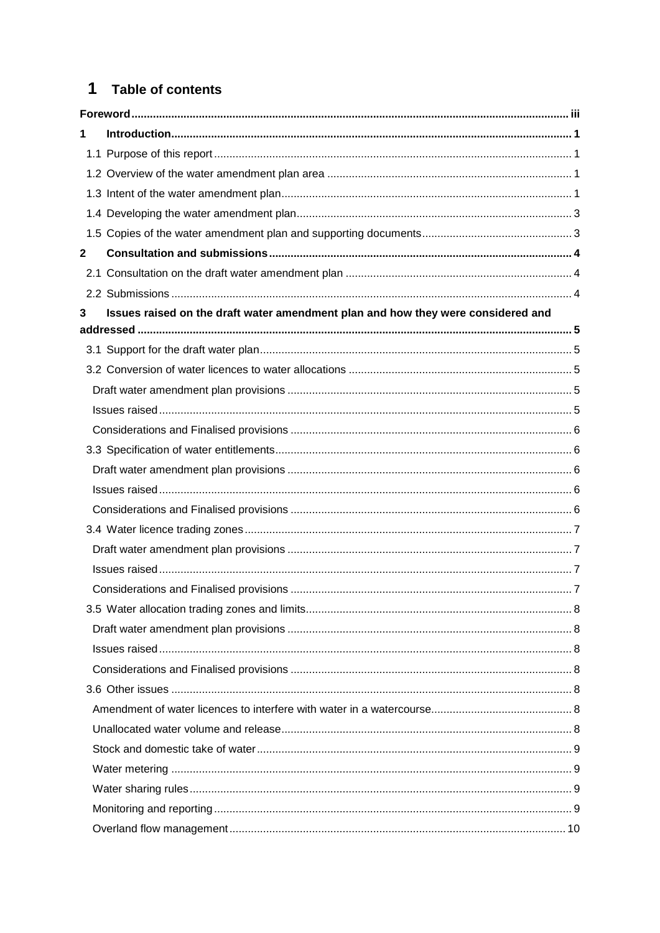## 1 Table of contents

| 1            |                                                                                  |  |  |
|--------------|----------------------------------------------------------------------------------|--|--|
|              |                                                                                  |  |  |
|              |                                                                                  |  |  |
|              |                                                                                  |  |  |
|              |                                                                                  |  |  |
|              |                                                                                  |  |  |
| $\mathbf{2}$ |                                                                                  |  |  |
|              |                                                                                  |  |  |
|              |                                                                                  |  |  |
| 3            | Issues raised on the draft water amendment plan and how they were considered and |  |  |
|              |                                                                                  |  |  |
|              |                                                                                  |  |  |
|              |                                                                                  |  |  |
|              |                                                                                  |  |  |
|              |                                                                                  |  |  |
|              |                                                                                  |  |  |
|              |                                                                                  |  |  |
|              |                                                                                  |  |  |
|              |                                                                                  |  |  |
|              |                                                                                  |  |  |
|              |                                                                                  |  |  |
|              |                                                                                  |  |  |
|              |                                                                                  |  |  |
|              |                                                                                  |  |  |
|              |                                                                                  |  |  |
|              |                                                                                  |  |  |
|              |                                                                                  |  |  |
|              |                                                                                  |  |  |
|              |                                                                                  |  |  |
|              |                                                                                  |  |  |
|              |                                                                                  |  |  |
|              |                                                                                  |  |  |
|              |                                                                                  |  |  |
|              |                                                                                  |  |  |
|              |                                                                                  |  |  |
|              |                                                                                  |  |  |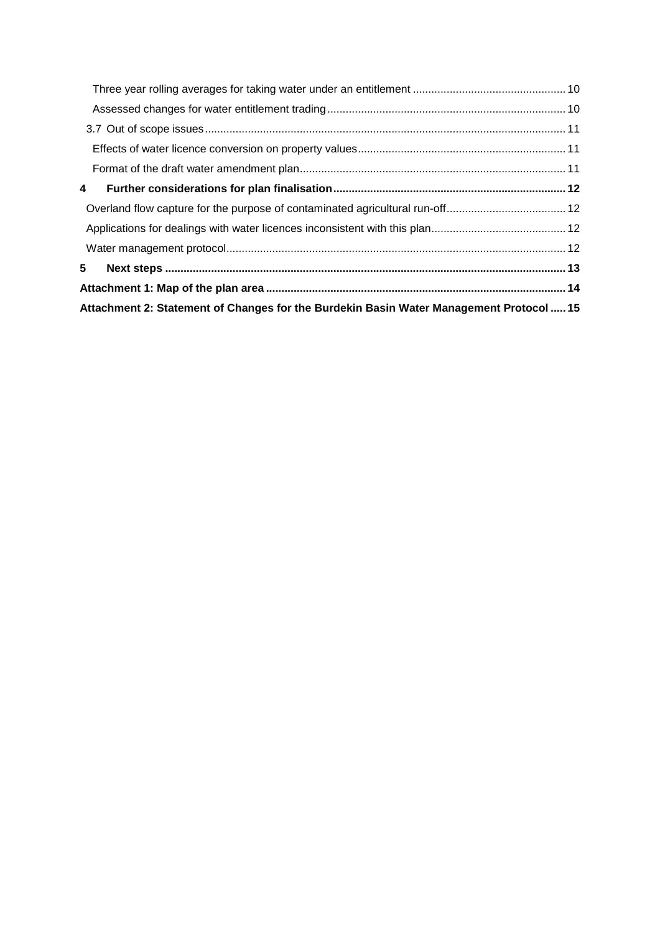|       | Attachment 2: Statement of Changes for the Burdekin Basin Water Management Protocol  15 |  |
|-------|-----------------------------------------------------------------------------------------|--|
|       |                                                                                         |  |
| $5 -$ |                                                                                         |  |
|       |                                                                                         |  |
|       |                                                                                         |  |
|       |                                                                                         |  |
| 4     |                                                                                         |  |
|       |                                                                                         |  |
|       |                                                                                         |  |
|       |                                                                                         |  |
|       |                                                                                         |  |
|       |                                                                                         |  |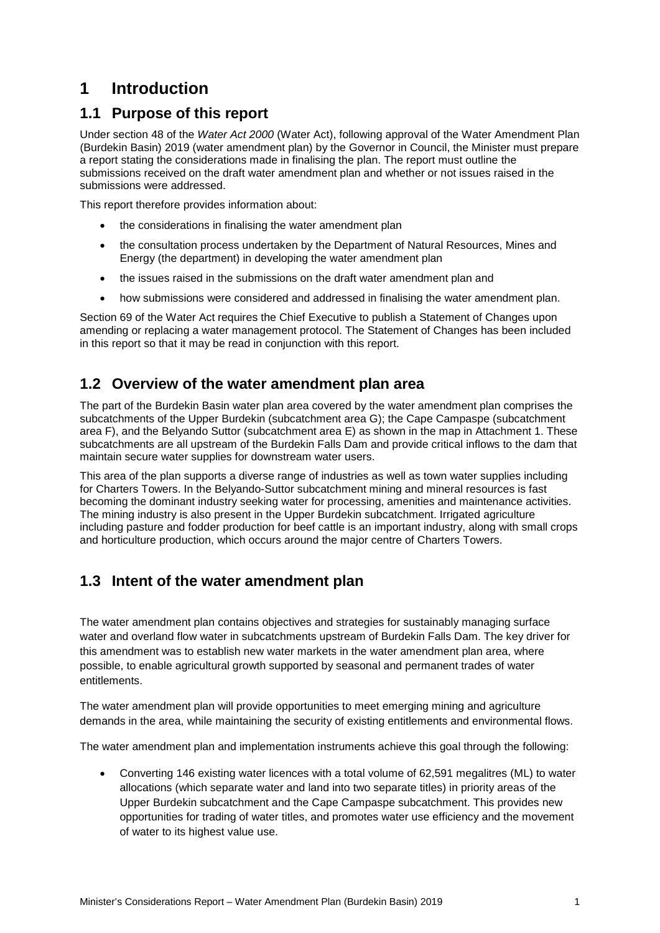## <span id="page-5-0"></span>**1 Introduction**

## <span id="page-5-1"></span>**1.1 Purpose of this report**

Under section 48 of the *Water Act 2000* (Water Act), following approval of the Water Amendment Plan (Burdekin Basin) 2019 (water amendment plan) by the Governor in Council, the Minister must prepare a report stating the considerations made in finalising the plan. The report must outline the submissions received on the draft water amendment plan and whether or not issues raised in the submissions were addressed.

This report therefore provides information about:

- the considerations in finalising the water amendment plan
- the consultation process undertaken by the Department of Natural Resources, Mines and Energy (the department) in developing the water amendment plan
- the issues raised in the submissions on the draft water amendment plan and
- how submissions were considered and addressed in finalising the water amendment plan.

Section 69 of the Water Act requires the Chief Executive to publish a Statement of Changes upon amending or replacing a water management protocol. The Statement of Changes has been included in this report so that it may be read in conjunction with this report.

### <span id="page-5-2"></span>**1.2 Overview of the water amendment plan area**

The part of the Burdekin Basin water plan area covered by the water amendment plan comprises the subcatchments of the Upper Burdekin (subcatchment area G); the Cape Campaspe (subcatchment area F), and the Belyando Suttor (subcatchment area E) as shown in the map in Attachment 1. These subcatchments are all upstream of the Burdekin Falls Dam and provide critical inflows to the dam that maintain secure water supplies for downstream water users.

This area of the plan supports a diverse range of industries as well as town water supplies including for Charters Towers. In the Belyando-Suttor subcatchment mining and mineral resources is fast becoming the dominant industry seeking water for processing, amenities and maintenance activities. The mining industry is also present in the Upper Burdekin subcatchment. Irrigated agriculture including pasture and fodder production for beef cattle is an important industry, along with small crops and horticulture production, which occurs around the major centre of Charters Towers.

## <span id="page-5-3"></span>**1.3 Intent of the water amendment plan**

The water amendment plan contains objectives and strategies for sustainably managing surface water and overland flow water in subcatchments upstream of Burdekin Falls Dam. The key driver for this amendment was to establish new water markets in the water amendment plan area, where possible, to enable agricultural growth supported by seasonal and permanent trades of water entitlements.

The water amendment plan will provide opportunities to meet emerging mining and agriculture demands in the area, while maintaining the security of existing entitlements and environmental flows.

The water amendment plan and implementation instruments achieve this goal through the following:

• Converting 146 existing water licences with a total volume of 62,591 megalitres (ML) to water allocations (which separate water and land into two separate titles) in priority areas of the Upper Burdekin subcatchment and the Cape Campaspe subcatchment. This provides new opportunities for trading of water titles, and promotes water use efficiency and the movement of water to its highest value use.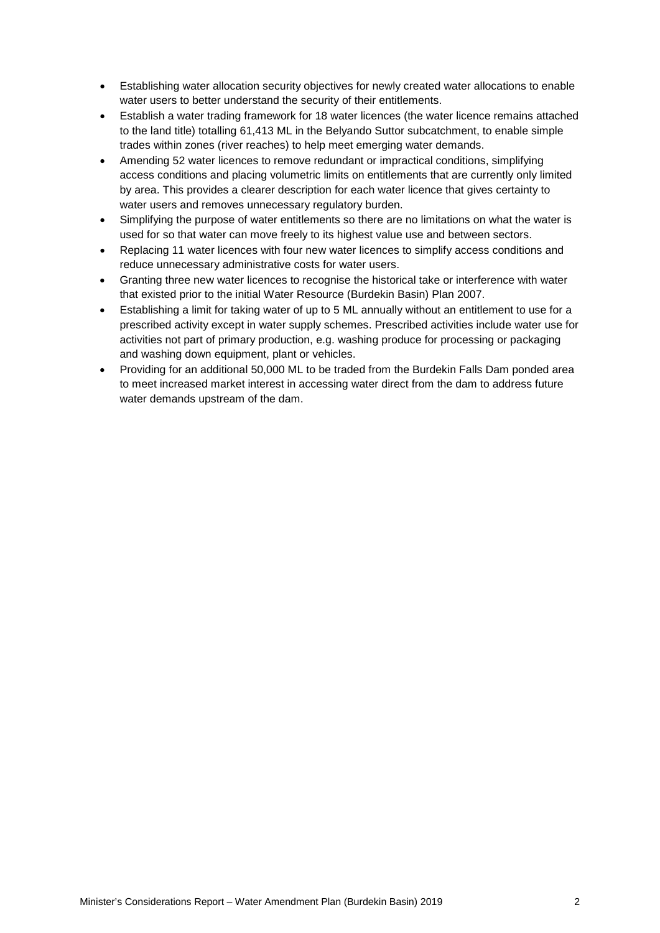- Establishing water allocation security objectives for newly created water allocations to enable water users to better understand the security of their entitlements.
- Establish a water trading framework for 18 water licences (the water licence remains attached to the land title) totalling 61,413 ML in the Belyando Suttor subcatchment, to enable simple trades within zones (river reaches) to help meet emerging water demands.
- Amending 52 water licences to remove redundant or impractical conditions, simplifying access conditions and placing volumetric limits on entitlements that are currently only limited by area. This provides a clearer description for each water licence that gives certainty to water users and removes unnecessary regulatory burden.
- Simplifying the purpose of water entitlements so there are no limitations on what the water is used for so that water can move freely to its highest value use and between sectors.
- Replacing 11 water licences with four new water licences to simplify access conditions and reduce unnecessary administrative costs for water users.
- Granting three new water licences to recognise the historical take or interference with water that existed prior to the initial Water Resource (Burdekin Basin) Plan 2007.
- Establishing a limit for taking water of up to 5 ML annually without an entitlement to use for a prescribed activity except in water supply schemes. Prescribed activities include water use for activities not part of primary production, e.g. washing produce for processing or packaging and washing down equipment, plant or vehicles.
- Providing for an additional 50,000 ML to be traded from the Burdekin Falls Dam ponded area to meet increased market interest in accessing water direct from the dam to address future water demands upstream of the dam.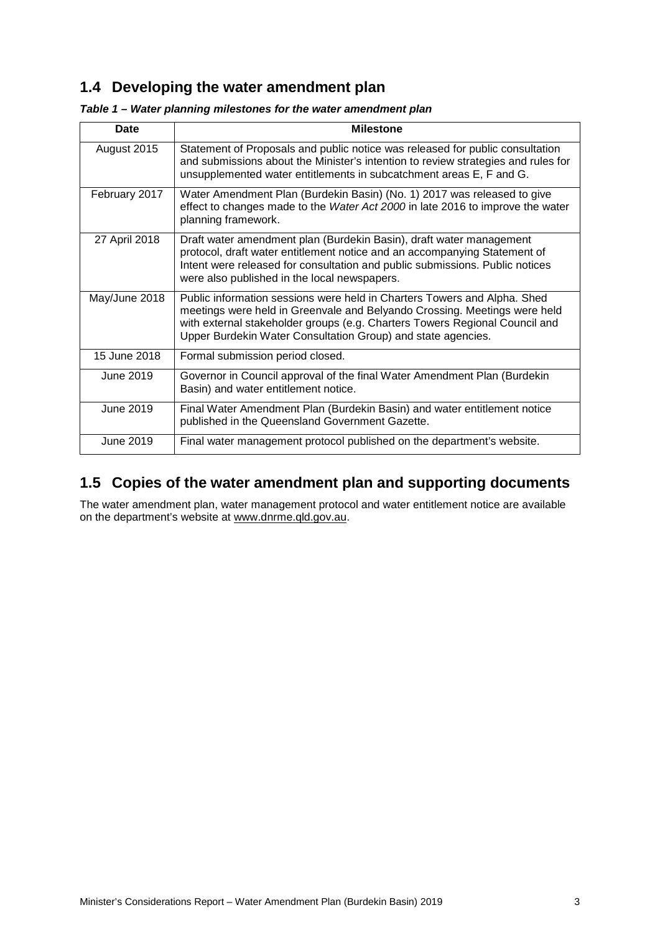## <span id="page-7-0"></span>**1.4 Developing the water amendment plan**

| Date          | <b>Milestone</b>                                                                                                                                                                                                                                                                                     |
|---------------|------------------------------------------------------------------------------------------------------------------------------------------------------------------------------------------------------------------------------------------------------------------------------------------------------|
| August 2015   | Statement of Proposals and public notice was released for public consultation<br>and submissions about the Minister's intention to review strategies and rules for<br>unsupplemented water entitlements in subcatchment areas E, F and G.                                                            |
| February 2017 | Water Amendment Plan (Burdekin Basin) (No. 1) 2017 was released to give<br>effect to changes made to the Water Act 2000 in late 2016 to improve the water<br>planning framework.                                                                                                                     |
| 27 April 2018 | Draft water amendment plan (Burdekin Basin), draft water management<br>protocol, draft water entitlement notice and an accompanying Statement of<br>Intent were released for consultation and public submissions. Public notices<br>were also published in the local newspapers.                     |
| May/June 2018 | Public information sessions were held in Charters Towers and Alpha. Shed<br>meetings were held in Greenvale and Belyando Crossing. Meetings were held<br>with external stakeholder groups (e.g. Charters Towers Regional Council and<br>Upper Burdekin Water Consultation Group) and state agencies. |
| 15 June 2018  | Formal submission period closed.                                                                                                                                                                                                                                                                     |
| June 2019     | Governor in Council approval of the final Water Amendment Plan (Burdekin<br>Basin) and water entitlement notice.                                                                                                                                                                                     |
| June 2019     | Final Water Amendment Plan (Burdekin Basin) and water entitlement notice<br>published in the Queensland Government Gazette.                                                                                                                                                                          |
| June 2019     | Final water management protocol published on the department's website.                                                                                                                                                                                                                               |

#### *Table 1 – Water planning milestones for the water amendment plan*

## <span id="page-7-1"></span>**1.5 Copies of the water amendment plan and supporting documents**

The water amendment plan, water management protocol and water entitlement notice are available on the department's website at [www.dnrme.qld.gov.au.](http://www.dnrme.qld.gov.au/)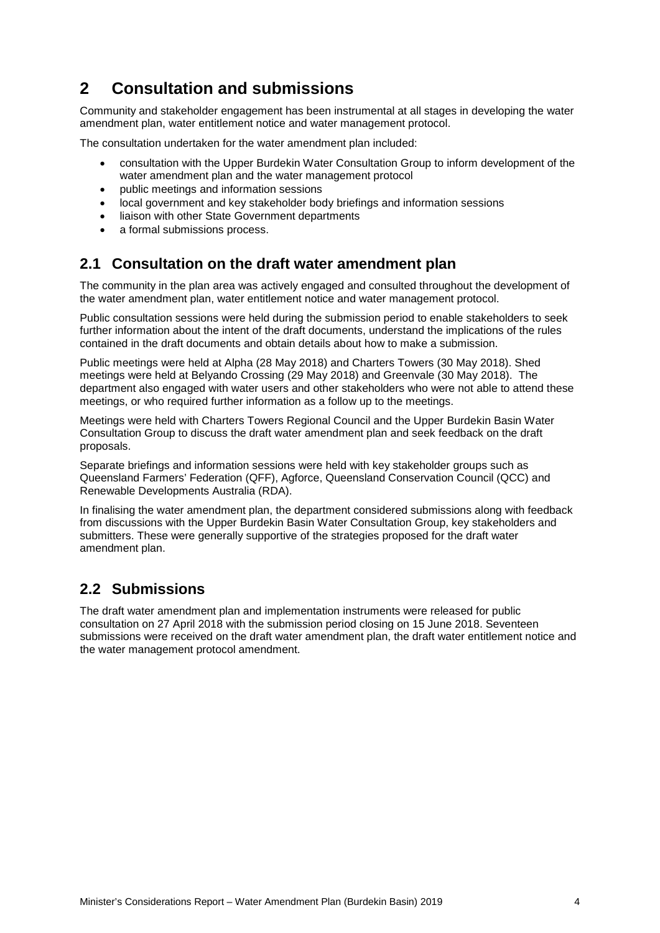## <span id="page-8-0"></span>**2 Consultation and submissions**

Community and stakeholder engagement has been instrumental at all stages in developing the water amendment plan, water entitlement notice and water management protocol.

The consultation undertaken for the water amendment plan included:

- consultation with the Upper Burdekin Water Consultation Group to inform development of the water amendment plan and the water management protocol
- public meetings and information sessions
- local government and key stakeholder body briefings and information sessions
- liaison with other State Government departments
- a formal submissions process.

### <span id="page-8-1"></span>**2.1 Consultation on the draft water amendment plan**

The community in the plan area was actively engaged and consulted throughout the development of the water amendment plan, water entitlement notice and water management protocol.

Public consultation sessions were held during the submission period to enable stakeholders to seek further information about the intent of the draft documents, understand the implications of the rules contained in the draft documents and obtain details about how to make a submission.

Public meetings were held at Alpha (28 May 2018) and Charters Towers (30 May 2018). Shed meetings were held at Belyando Crossing (29 May 2018) and Greenvale (30 May 2018). The department also engaged with water users and other stakeholders who were not able to attend these meetings, or who required further information as a follow up to the meetings.

Meetings were held with Charters Towers Regional Council and the Upper Burdekin Basin Water Consultation Group to discuss the draft water amendment plan and seek feedback on the draft proposals.

Separate briefings and information sessions were held with key stakeholder groups such as Queensland Farmers' Federation (QFF), Agforce, Queensland Conservation Council (QCC) and Renewable Developments Australia (RDA).

In finalising the water amendment plan, the department considered submissions along with feedback from discussions with the Upper Burdekin Basin Water Consultation Group, key stakeholders and submitters. These were generally supportive of the strategies proposed for the draft water amendment plan.

### <span id="page-8-2"></span>**2.2 Submissions**

The draft water amendment plan and implementation instruments were released for public consultation on 27 April 2018 with the submission period closing on 15 June 2018. Seventeen submissions were received on the draft water amendment plan, the draft water entitlement notice and the water management protocol amendment.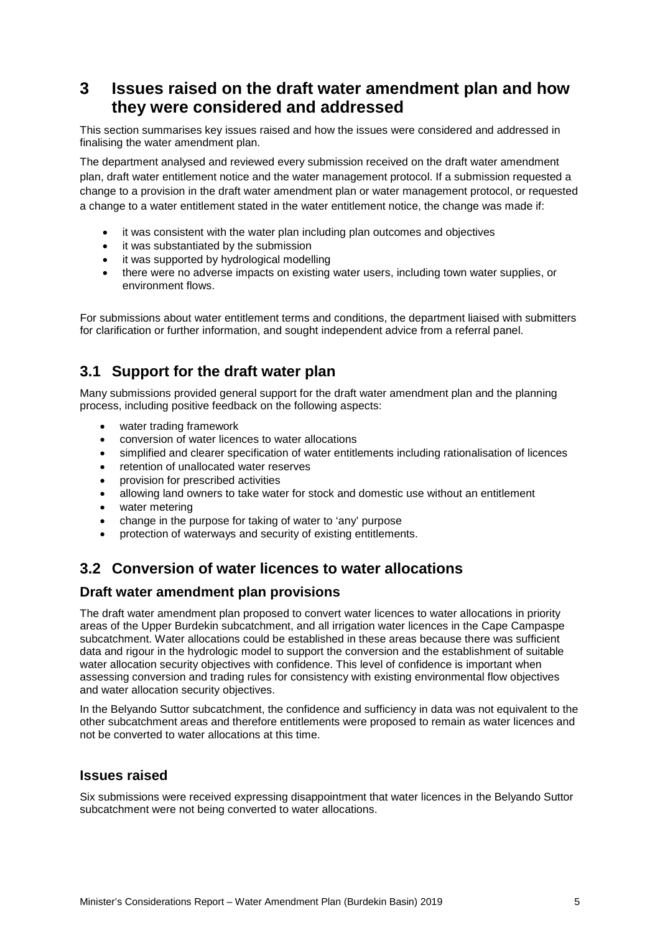## <span id="page-9-0"></span>**3 Issues raised on the draft water amendment plan and how they were considered and addressed**

This section summarises key issues raised and how the issues were considered and addressed in finalising the water amendment plan.

The department analysed and reviewed every submission received on the draft water amendment plan, draft water entitlement notice and the water management protocol. If a submission requested a change to a provision in the draft water amendment plan or water management protocol, or requested a change to a water entitlement stated in the water entitlement notice, the change was made if:

- it was consistent with the water plan including plan outcomes and objectives
- it was substantiated by the submission
- it was supported by hydrological modelling
- there were no adverse impacts on existing water users, including town water supplies, or environment flows.

For submissions about water entitlement terms and conditions, the department liaised with submitters for clarification or further information, and sought independent advice from a referral panel.

## <span id="page-9-1"></span>**3.1 Support for the draft water plan**

Many submissions provided general support for the draft water amendment plan and the planning process, including positive feedback on the following aspects:

- water trading framework
- conversion of water licences to water allocations
- simplified and clearer specification of water entitlements including rationalisation of licences
- retention of unallocated water reserves
- provision for prescribed activities
- allowing land owners to take water for stock and domestic use without an entitlement
- water metering
- change in the purpose for taking of water to 'any' purpose
- protection of waterways and security of existing entitlements.

### <span id="page-9-2"></span>**3.2 Conversion of water licences to water allocations**

#### <span id="page-9-3"></span>**Draft water amendment plan provisions**

The draft water amendment plan proposed to convert water licences to water allocations in priority areas of the Upper Burdekin subcatchment, and all irrigation water licences in the Cape Campaspe subcatchment. Water allocations could be established in these areas because there was sufficient data and rigour in the hydrologic model to support the conversion and the establishment of suitable water allocation security objectives with confidence. This level of confidence is important when assessing conversion and trading rules for consistency with existing environmental flow objectives and water allocation security objectives.

In the Belyando Suttor subcatchment, the confidence and sufficiency in data was not equivalent to the other subcatchment areas and therefore entitlements were proposed to remain as water licences and not be converted to water allocations at this time.

#### <span id="page-9-4"></span>**Issues raised**

Six submissions were received expressing disappointment that water licences in the Belyando Suttor subcatchment were not being converted to water allocations.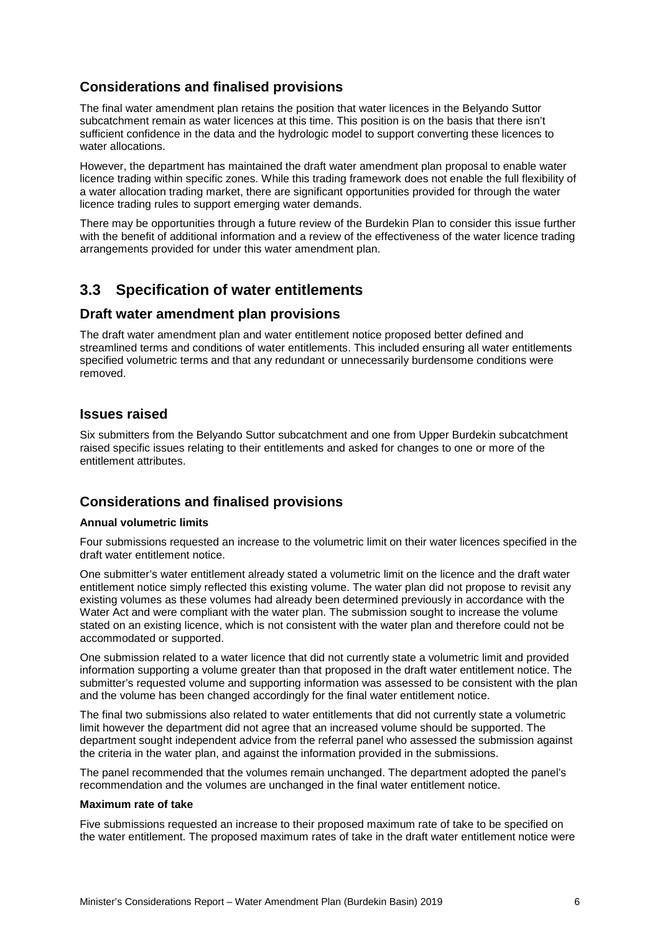#### <span id="page-10-0"></span>**Considerations and finalised provisions**

The final water amendment plan retains the position that water licences in the Belyando Suttor subcatchment remain as water licences at this time. This position is on the basis that there isn't sufficient confidence in the data and the hydrologic model to support converting these licences to water allocations.

However, the department has maintained the draft water amendment plan proposal to enable water licence trading within specific zones. While this trading framework does not enable the full flexibility of a water allocation trading market, there are significant opportunities provided for through the water licence trading rules to support emerging water demands.

There may be opportunities through a future review of the Burdekin Plan to consider this issue further with the benefit of additional information and a review of the effectiveness of the water licence trading arrangements provided for under this water amendment plan.

### <span id="page-10-1"></span>**3.3 Specification of water entitlements**

#### <span id="page-10-2"></span>**Draft water amendment plan provisions**

The draft water amendment plan and water entitlement notice proposed better defined and streamlined terms and conditions of water entitlements. This included ensuring all water entitlements specified volumetric terms and that any redundant or unnecessarily burdensome conditions were removed.

#### <span id="page-10-3"></span>**Issues raised**

Six submitters from the Belyando Suttor subcatchment and one from Upper Burdekin subcatchment raised specific issues relating to their entitlements and asked for changes to one or more of the entitlement attributes.

#### <span id="page-10-4"></span>**Considerations and finalised provisions**

#### **Annual volumetric limits**

Four submissions requested an increase to the volumetric limit on their water licences specified in the draft water entitlement notice.

One submitter's water entitlement already stated a volumetric limit on the licence and the draft water entitlement notice simply reflected this existing volume. The water plan did not propose to revisit any existing volumes as these volumes had already been determined previously in accordance with the Water Act and were compliant with the water plan. The submission sought to increase the volume stated on an existing licence, which is not consistent with the water plan and therefore could not be accommodated or supported.

One submission related to a water licence that did not currently state a volumetric limit and provided information supporting a volume greater than that proposed in the draft water entitlement notice. The submitter's requested volume and supporting information was assessed to be consistent with the plan and the volume has been changed accordingly for the final water entitlement notice.

The final two submissions also related to water entitlements that did not currently state a volumetric limit however the department did not agree that an increased volume should be supported. The department sought independent advice from the referral panel who assessed the submission against the criteria in the water plan, and against the information provided in the submissions.

The panel recommended that the volumes remain unchanged. The department adopted the panel's recommendation and the volumes are unchanged in the final water entitlement notice.

#### **Maximum rate of take**

Five submissions requested an increase to their proposed maximum rate of take to be specified on the water entitlement. The proposed maximum rates of take in the draft water entitlement notice were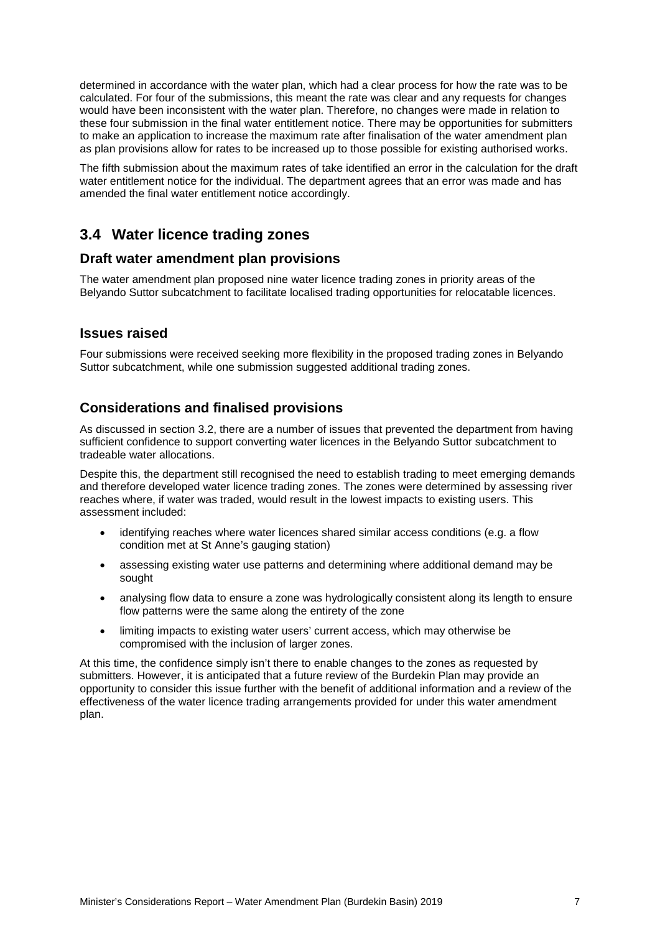determined in accordance with the water plan, which had a clear process for how the rate was to be calculated. For four of the submissions, this meant the rate was clear and any requests for changes would have been inconsistent with the water plan. Therefore, no changes were made in relation to these four submission in the final water entitlement notice. There may be opportunities for submitters to make an application to increase the maximum rate after finalisation of the water amendment plan as plan provisions allow for rates to be increased up to those possible for existing authorised works.

The fifth submission about the maximum rates of take identified an error in the calculation for the draft water entitlement notice for the individual. The department agrees that an error was made and has amended the final water entitlement notice accordingly.

### <span id="page-11-0"></span>**3.4 Water licence trading zones**

#### <span id="page-11-1"></span>**Draft water amendment plan provisions**

The water amendment plan proposed nine water licence trading zones in priority areas of the Belyando Suttor subcatchment to facilitate localised trading opportunities for relocatable licences.

#### <span id="page-11-2"></span>**Issues raised**

Four submissions were received seeking more flexibility in the proposed trading zones in Belyando Suttor subcatchment, while one submission suggested additional trading zones.

#### <span id="page-11-3"></span>**Considerations and finalised provisions**

As discussed in section 3.2, there are a number of issues that prevented the department from having sufficient confidence to support converting water licences in the Belyando Suttor subcatchment to tradeable water allocations.

Despite this, the department still recognised the need to establish trading to meet emerging demands and therefore developed water licence trading zones. The zones were determined by assessing river reaches where, if water was traded, would result in the lowest impacts to existing users. This assessment included:

- identifying reaches where water licences shared similar access conditions (e.g. a flow condition met at St Anne's gauging station)
- assessing existing water use patterns and determining where additional demand may be sought
- analysing flow data to ensure a zone was hydrologically consistent along its length to ensure flow patterns were the same along the entirety of the zone
- limiting impacts to existing water users' current access, which may otherwise be compromised with the inclusion of larger zones.

At this time, the confidence simply isn't there to enable changes to the zones as requested by submitters. However, it is anticipated that a future review of the Burdekin Plan may provide an opportunity to consider this issue further with the benefit of additional information and a review of the effectiveness of the water licence trading arrangements provided for under this water amendment plan.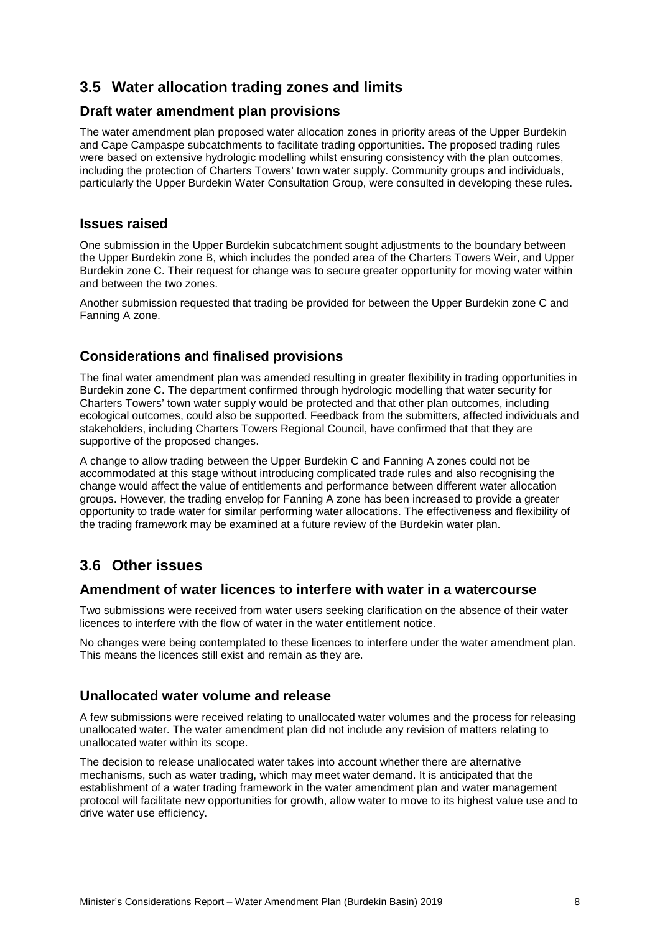## <span id="page-12-0"></span>**3.5 Water allocation trading zones and limits**

#### <span id="page-12-1"></span>**Draft water amendment plan provisions**

The water amendment plan proposed water allocation zones in priority areas of the Upper Burdekin and Cape Campaspe subcatchments to facilitate trading opportunities. The proposed trading rules were based on extensive hydrologic modelling whilst ensuring consistency with the plan outcomes, including the protection of Charters Towers' town water supply. Community groups and individuals, particularly the Upper Burdekin Water Consultation Group, were consulted in developing these rules.

#### <span id="page-12-2"></span>**Issues raised**

One submission in the Upper Burdekin subcatchment sought adjustments to the boundary between the Upper Burdekin zone B, which includes the ponded area of the Charters Towers Weir, and Upper Burdekin zone C. Their request for change was to secure greater opportunity for moving water within and between the two zones.

Another submission requested that trading be provided for between the Upper Burdekin zone C and Fanning A zone.

#### <span id="page-12-3"></span>**Considerations and finalised provisions**

The final water amendment plan was amended resulting in greater flexibility in trading opportunities in Burdekin zone C. The department confirmed through hydrologic modelling that water security for Charters Towers' town water supply would be protected and that other plan outcomes, including ecological outcomes, could also be supported. Feedback from the submitters, affected individuals and stakeholders, including Charters Towers Regional Council, have confirmed that that they are supportive of the proposed changes.

A change to allow trading between the Upper Burdekin C and Fanning A zones could not be accommodated at this stage without introducing complicated trade rules and also recognising the change would affect the value of entitlements and performance between different water allocation groups. However, the trading envelop for Fanning A zone has been increased to provide a greater opportunity to trade water for similar performing water allocations. The effectiveness and flexibility of the trading framework may be examined at a future review of the Burdekin water plan.

### <span id="page-12-4"></span>**3.6 Other issues**

#### <span id="page-12-5"></span>**Amendment of water licences to interfere with water in a watercourse**

Two submissions were received from water users seeking clarification on the absence of their water licences to interfere with the flow of water in the water entitlement notice.

No changes were being contemplated to these licences to interfere under the water amendment plan. This means the licences still exist and remain as they are.

#### <span id="page-12-6"></span>**Unallocated water volume and release**

A few submissions were received relating to unallocated water volumes and the process for releasing unallocated water. The water amendment plan did not include any revision of matters relating to unallocated water within its scope.

The decision to release unallocated water takes into account whether there are alternative mechanisms, such as water trading, which may meet water demand. It is anticipated that the establishment of a water trading framework in the water amendment plan and water management protocol will facilitate new opportunities for growth, allow water to move to its highest value use and to drive water use efficiency.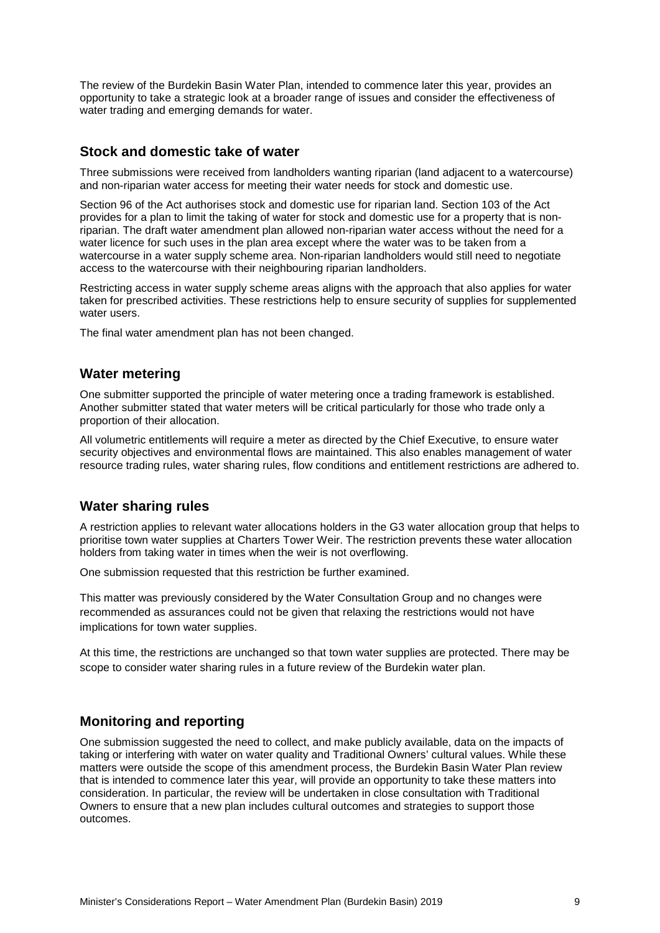The review of the Burdekin Basin Water Plan, intended to commence later this year, provides an opportunity to take a strategic look at a broader range of issues and consider the effectiveness of water trading and emerging demands for water.

#### <span id="page-13-0"></span>**Stock and domestic take of water**

Three submissions were received from landholders wanting riparian (land adjacent to a watercourse) and non-riparian water access for meeting their water needs for stock and domestic use.

Section 96 of the Act authorises stock and domestic use for riparian land. Section 103 of the Act provides for a plan to limit the taking of water for stock and domestic use for a property that is nonriparian. The draft water amendment plan allowed non-riparian water access without the need for a water licence for such uses in the plan area except where the water was to be taken from a watercourse in a water supply scheme area. Non-riparian landholders would still need to negotiate access to the watercourse with their neighbouring riparian landholders.

Restricting access in water supply scheme areas aligns with the approach that also applies for water taken for prescribed activities. These restrictions help to ensure security of supplies for supplemented water users.

The final water amendment plan has not been changed.

#### <span id="page-13-1"></span>**Water metering**

One submitter supported the principle of water metering once a trading framework is established. Another submitter stated that water meters will be critical particularly for those who trade only a proportion of their allocation.

All volumetric entitlements will require a meter as directed by the Chief Executive, to ensure water security objectives and environmental flows are maintained. This also enables management of water resource trading rules, water sharing rules, flow conditions and entitlement restrictions are adhered to.

#### <span id="page-13-2"></span>**Water sharing rules**

A restriction applies to relevant water allocations holders in the G3 water allocation group that helps to prioritise town water supplies at Charters Tower Weir. The restriction prevents these water allocation holders from taking water in times when the weir is not overflowing.

One submission requested that this restriction be further examined.

This matter was previously considered by the Water Consultation Group and no changes were recommended as assurances could not be given that relaxing the restrictions would not have implications for town water supplies.

At this time, the restrictions are unchanged so that town water supplies are protected. There may be scope to consider water sharing rules in a future review of the Burdekin water plan.

#### <span id="page-13-3"></span>**Monitoring and reporting**

One submission suggested the need to collect, and make publicly available, data on the impacts of taking or interfering with water on water quality and Traditional Owners' cultural values. While these matters were outside the scope of this amendment process, the Burdekin Basin Water Plan review that is intended to commence later this year, will provide an opportunity to take these matters into consideration. In particular, the review will be undertaken in close consultation with Traditional Owners to ensure that a new plan includes cultural outcomes and strategies to support those outcomes.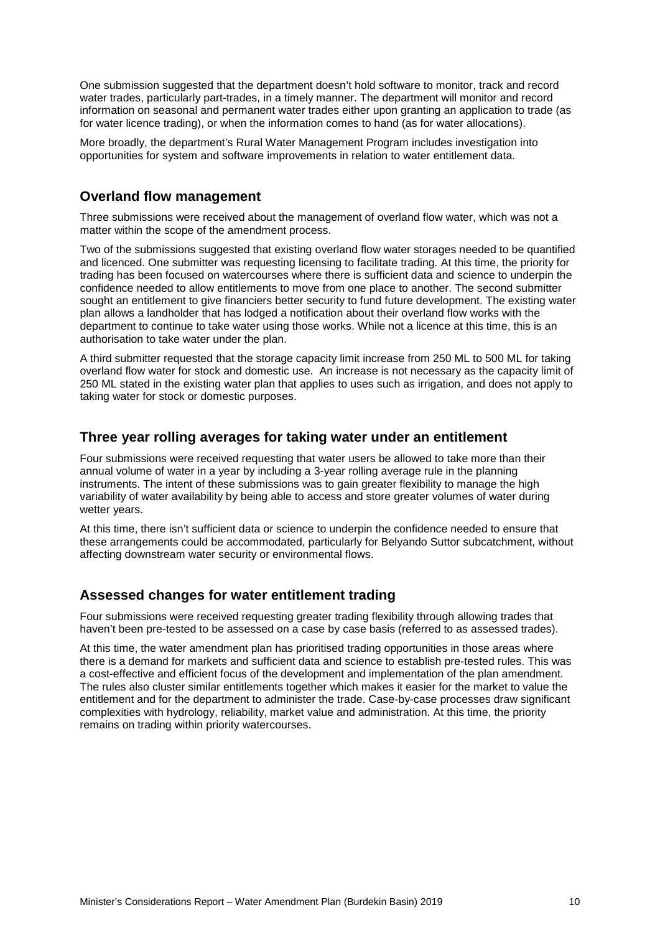One submission suggested that the department doesn't hold software to monitor, track and record water trades, particularly part-trades, in a timely manner. The department will monitor and record information on seasonal and permanent water trades either upon granting an application to trade (as for water licence trading), or when the information comes to hand (as for water allocations).

More broadly, the department's Rural Water Management Program includes investigation into opportunities for system and software improvements in relation to water entitlement data.

#### <span id="page-14-0"></span>**Overland flow management**

Three submissions were received about the management of overland flow water, which was not a matter within the scope of the amendment process.

Two of the submissions suggested that existing overland flow water storages needed to be quantified and licenced. One submitter was requesting licensing to facilitate trading. At this time, the priority for trading has been focused on watercourses where there is sufficient data and science to underpin the confidence needed to allow entitlements to move from one place to another. The second submitter sought an entitlement to give financiers better security to fund future development. The existing water plan allows a landholder that has lodged a notification about their overland flow works with the department to continue to take water using those works. While not a licence at this time, this is an authorisation to take water under the plan.

A third submitter requested that the storage capacity limit increase from 250 ML to 500 ML for taking overland flow water for stock and domestic use. An increase is not necessary as the capacity limit of 250 ML stated in the existing water plan that applies to uses such as irrigation, and does not apply to taking water for stock or domestic purposes.

#### <span id="page-14-1"></span>**Three year rolling averages for taking water under an entitlement**

Four submissions were received requesting that water users be allowed to take more than their annual volume of water in a year by including a 3-year rolling average rule in the planning instruments. The intent of these submissions was to gain greater flexibility to manage the high variability of water availability by being able to access and store greater volumes of water during wetter years.

At this time, there isn't sufficient data or science to underpin the confidence needed to ensure that these arrangements could be accommodated, particularly for Belyando Suttor subcatchment, without affecting downstream water security or environmental flows.

#### <span id="page-14-2"></span>**Assessed changes for water entitlement trading**

Four submissions were received requesting greater trading flexibility through allowing trades that haven't been pre-tested to be assessed on a case by case basis (referred to as assessed trades).

At this time, the water amendment plan has prioritised trading opportunities in those areas where there is a demand for markets and sufficient data and science to establish pre-tested rules. This was a cost-effective and efficient focus of the development and implementation of the plan amendment. The rules also cluster similar entitlements together which makes it easier for the market to value the entitlement and for the department to administer the trade. Case-by-case processes draw significant complexities with hydrology, reliability, market value and administration. At this time, the priority remains on trading within priority watercourses.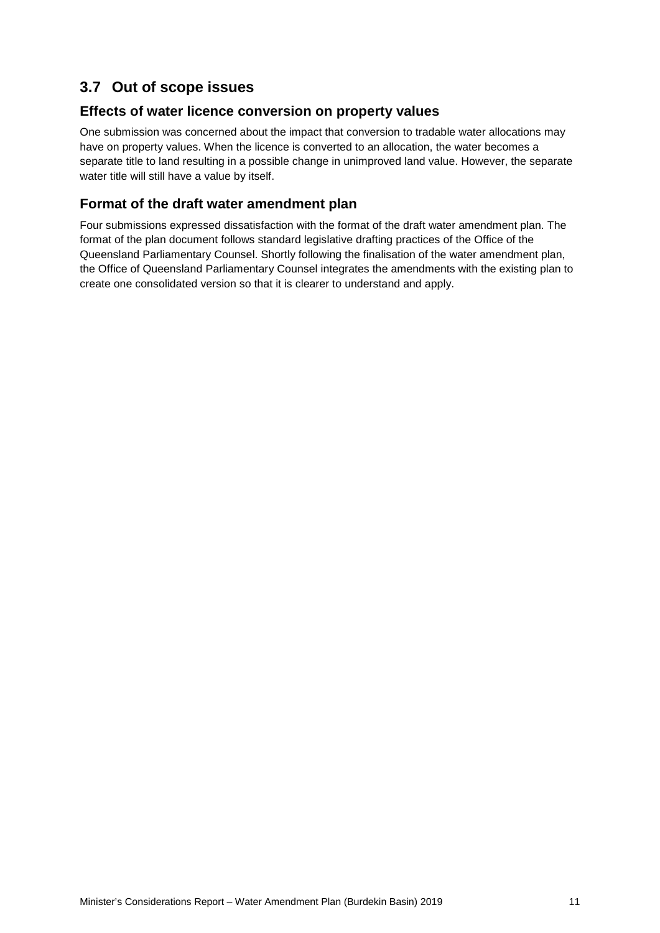## <span id="page-15-0"></span>**3.7 Out of scope issues**

#### <span id="page-15-1"></span>**Effects of water licence conversion on property values**

One submission was concerned about the impact that conversion to tradable water allocations may have on property values. When the licence is converted to an allocation, the water becomes a separate title to land resulting in a possible change in unimproved land value. However, the separate water title will still have a value by itself.

### <span id="page-15-2"></span>**Format of the draft water amendment plan**

Four submissions expressed dissatisfaction with the format of the draft water amendment plan. The format of the plan document follows standard legislative drafting practices of the Office of the Queensland Parliamentary Counsel. Shortly following the finalisation of the water amendment plan, the Office of Queensland Parliamentary Counsel integrates the amendments with the existing plan to create one consolidated version so that it is clearer to understand and apply.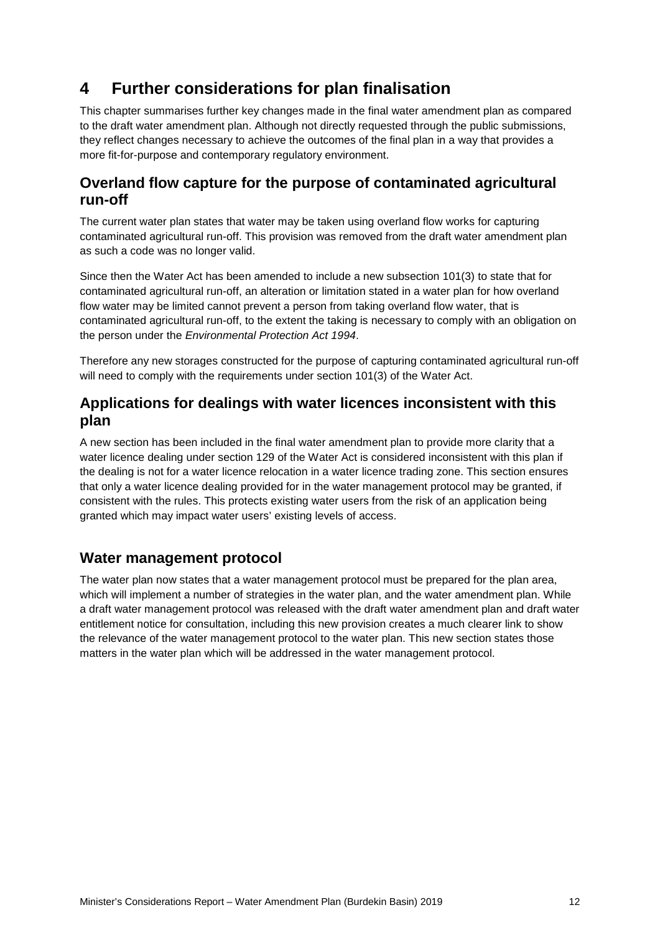## <span id="page-16-0"></span>**4 Further considerations for plan finalisation**

This chapter summarises further key changes made in the final water amendment plan as compared to the draft water amendment plan. Although not directly requested through the public submissions, they reflect changes necessary to achieve the outcomes of the final plan in a way that provides a more fit-for-purpose and contemporary regulatory environment.

### <span id="page-16-1"></span>**Overland flow capture for the purpose of contaminated agricultural run-off**

The current water plan states that water may be taken using overland flow works for capturing contaminated agricultural run-off. This provision was removed from the draft water amendment plan as such a code was no longer valid.

Since then the Water Act has been amended to include a new subsection 101(3) to state that for contaminated agricultural run-off, an alteration or limitation stated in a water plan for how overland flow water may be limited cannot prevent a person from taking overland flow water, that is contaminated agricultural run-off, to the extent the taking is necessary to comply with an obligation on the person under the *Environmental Protection Act 1994*.

Therefore any new storages constructed for the purpose of capturing contaminated agricultural run-off will need to comply with the requirements under section 101(3) of the Water Act.

### <span id="page-16-2"></span>**Applications for dealings with water licences inconsistent with this plan**

A new section has been included in the final water amendment plan to provide more clarity that a water licence dealing under section 129 of the Water Act is considered inconsistent with this plan if the dealing is not for a water licence relocation in a water licence trading zone. This section ensures that only a water licence dealing provided for in the water management protocol may be granted, if consistent with the rules. This protects existing water users from the risk of an application being granted which may impact water users' existing levels of access.

### <span id="page-16-3"></span>**Water management protocol**

The water plan now states that a water management protocol must be prepared for the plan area, which will implement a number of strategies in the water plan, and the water amendment plan. While a draft water management protocol was released with the draft water amendment plan and draft water entitlement notice for consultation, including this new provision creates a much clearer link to show the relevance of the water management protocol to the water plan. This new section states those matters in the water plan which will be addressed in the water management protocol.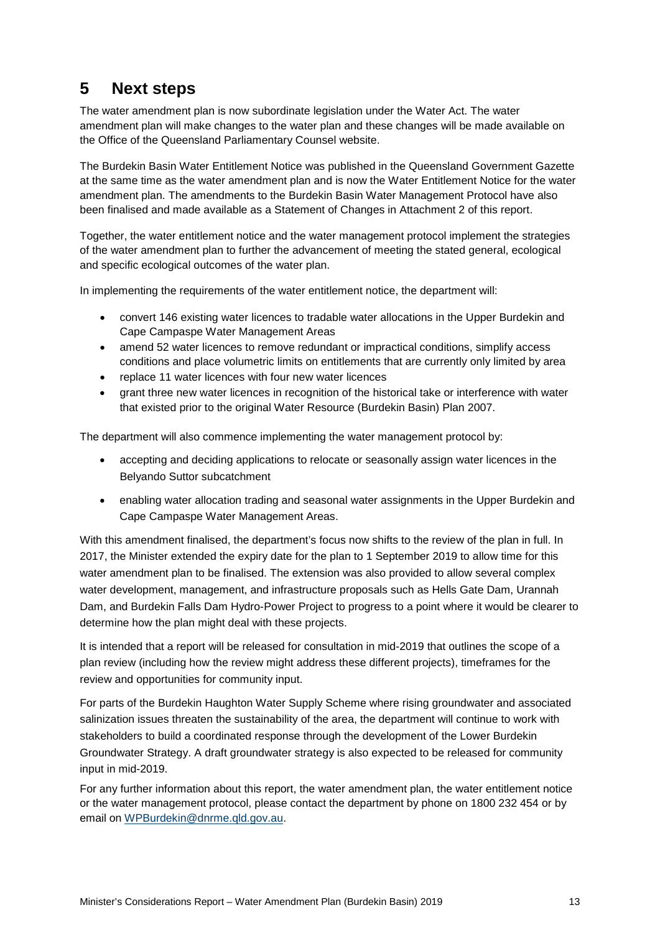## <span id="page-17-0"></span>**5 Next steps**

The water amendment plan is now subordinate legislation under the Water Act. The water amendment plan will make changes to the water plan and these changes will be made available on the Office of the Queensland Parliamentary Counsel website.

The Burdekin Basin Water Entitlement Notice was published in the Queensland Government Gazette at the same time as the water amendment plan and is now the Water Entitlement Notice for the water amendment plan. The amendments to the Burdekin Basin Water Management Protocol have also been finalised and made available as a Statement of Changes in Attachment 2 of this report.

Together, the water entitlement notice and the water management protocol implement the strategies of the water amendment plan to further the advancement of meeting the stated general, ecological and specific ecological outcomes of the water plan.

In implementing the requirements of the water entitlement notice, the department will:

- convert 146 existing water licences to tradable water allocations in the Upper Burdekin and Cape Campaspe Water Management Areas
- amend 52 water licences to remove redundant or impractical conditions, simplify access conditions and place volumetric limits on entitlements that are currently only limited by area
- replace 11 water licences with four new water licences
- grant three new water licences in recognition of the historical take or interference with water that existed prior to the original Water Resource (Burdekin Basin) Plan 2007.

The department will also commence implementing the water management protocol by:

- accepting and deciding applications to relocate or seasonally assign water licences in the Belyando Suttor subcatchment
- enabling water allocation trading and seasonal water assignments in the Upper Burdekin and Cape Campaspe Water Management Areas.

With this amendment finalised, the department's focus now shifts to the review of the plan in full. In 2017, the Minister extended the expiry date for the plan to 1 September 2019 to allow time for this water amendment plan to be finalised. The extension was also provided to allow several complex water development, management, and infrastructure proposals such as Hells Gate Dam, Urannah Dam, and Burdekin Falls Dam Hydro-Power Project to progress to a point where it would be clearer to determine how the plan might deal with these projects.

It is intended that a report will be released for consultation in mid-2019 that outlines the scope of a plan review (including how the review might address these different projects), timeframes for the review and opportunities for community input.

For parts of the Burdekin Haughton Water Supply Scheme where rising groundwater and associated salinization issues threaten the sustainability of the area, the department will continue to work with stakeholders to build a coordinated response through the development of the Lower Burdekin Groundwater Strategy. A draft groundwater strategy is also expected to be released for community input in mid-2019.

For any further information about this report, the water amendment plan, the water entitlement notice or the water management protocol, please contact the department by phone on 1800 232 454 or by email on [WPBurdekin@dnrme.qld.gov.au.](mailto:WPBurdekin@dnrme.qld.gov.au)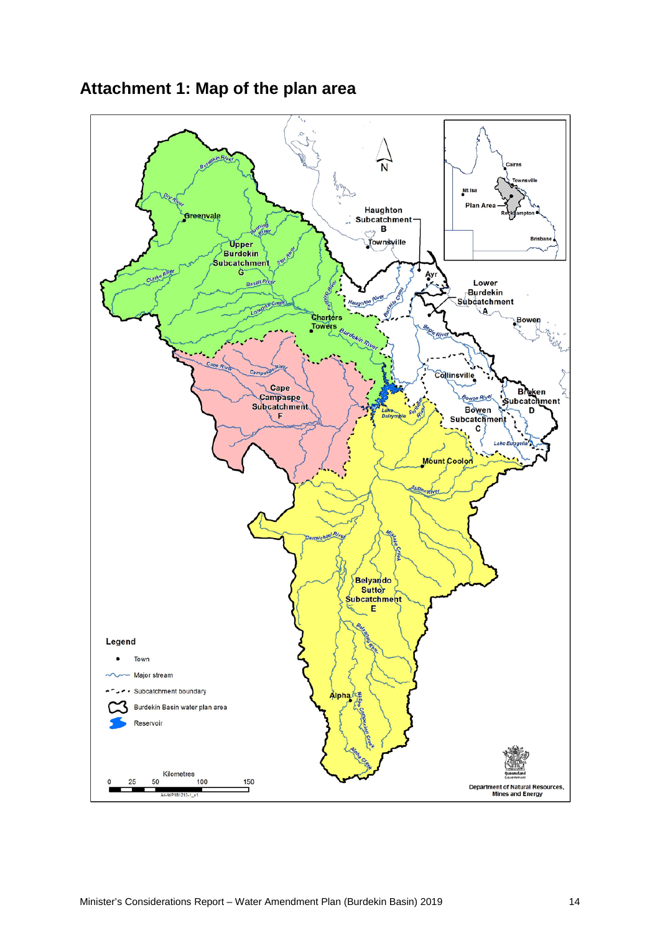

## <span id="page-18-0"></span>**Attachment 1: Map of the plan area**